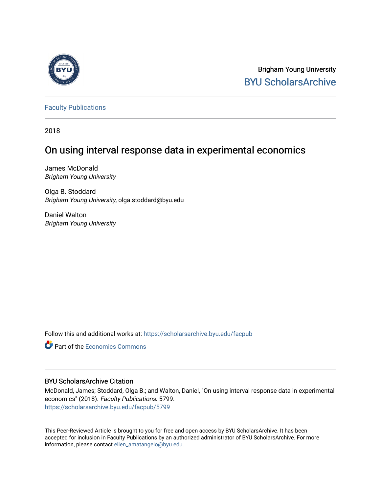

Brigham Young University [BYU ScholarsArchive](https://scholarsarchive.byu.edu/) 

[Faculty Publications](https://scholarsarchive.byu.edu/facpub)

2018

# On using interval response data in experimental economics

James McDonald Brigham Young University

Olga B. Stoddard Brigham Young University, olga.stoddard@byu.edu

Daniel Walton Brigham Young University

Follow this and additional works at: [https://scholarsarchive.byu.edu/facpub](https://scholarsarchive.byu.edu/facpub?utm_source=scholarsarchive.byu.edu%2Ffacpub%2F5799&utm_medium=PDF&utm_campaign=PDFCoverPages) 

**C** Part of the [Economics Commons](http://network.bepress.com/hgg/discipline/340?utm_source=scholarsarchive.byu.edu%2Ffacpub%2F5799&utm_medium=PDF&utm_campaign=PDFCoverPages)

## BYU ScholarsArchive Citation

McDonald, James; Stoddard, Olga B.; and Walton, Daniel, "On using interval response data in experimental economics" (2018). Faculty Publications. 5799. [https://scholarsarchive.byu.edu/facpub/5799](https://scholarsarchive.byu.edu/facpub/5799?utm_source=scholarsarchive.byu.edu%2Ffacpub%2F5799&utm_medium=PDF&utm_campaign=PDFCoverPages)

This Peer-Reviewed Article is brought to you for free and open access by BYU ScholarsArchive. It has been accepted for inclusion in Faculty Publications by an authorized administrator of BYU ScholarsArchive. For more information, please contact [ellen\\_amatangelo@byu.edu.](mailto:ellen_amatangelo@byu.edu)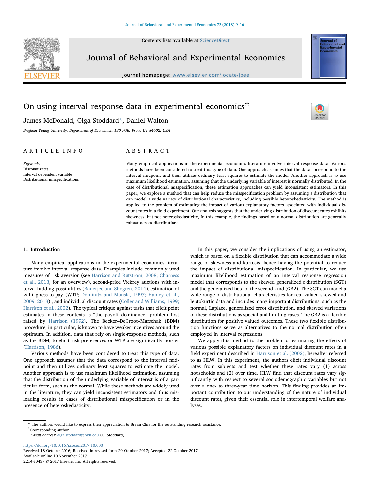Contents lists available at [ScienceDirect](http://www.sciencedirect.com/science/journal/22148043)



Journal of Behavioral and Experimental Economics

journal homepage: [www.elsevier.com/locate/jbee](https://www.elsevier.com/locate/jbee)

## On using interval response data in experimental economics  $\star$

## James McDonald, Olga Stoddard[\\*,](#page-1-0) Daniel Walton

Brigham Young University. Department of Economics, 130 FOB, Provo UT 84602, USA

### ARTICLE INFO

Keywords: Discount rates Interval dependent variable Distributional misspecifications

## ABSTRACT

Many empirical applications in the experimental economics literature involve interval response data. Various methods have been considered to treat this type of data. One approach assumes that the data correspond to the interval midpoint and then utilizes ordinary least squares to estimate the model. Another approach is to use maximum likelihood estimation, assuming that the underlying variable of interest is normally distributed. In the case of distributional misspecification, these estimation approaches can yield inconsistent estimators. In this paper, we explore a method that can help reduce the misspecification problem by assuming a distribution that can model a wide variety of distributional characteristics, including possible heteroskedasticity. The method is applied to the problem of estimating the impact of various explanatory factors associated with individual discount rates in a field experiment. Our analysis suggests that the underlying distribution of discount rates exhibits skewness, but not heteroskedasticity, In this example, the findings based on a normal distribution are generally robust across distributions.

#### 1. Introduction

Many empirical applications in the experimental economics literature involve interval response data. Examples include commonly used measures of risk aversion (see [Harrison and Rutstrom, 2008; Charness](#page-8-0) [et al., 2013](#page-8-0), for an overview), second-price Vickrey auctions with interval bidding possibilities ([Banerjee and Shogren, 2014](#page-8-1)), estimation of willingness-to-pay (WTP; [Dominitz and Manski, 1997; Hanley et al.,](#page-8-2) [2009,](#page-8-2) [2013\)](#page-8-3) , and individual discount rates ([Coller and Williams, 1999;](#page-8-4) [Harrison et al., 2002\)](#page-8-4). The typical critique against tasks that elicit point estimates in these contexts is "the payoff dominance" problem first raised by [Harrison \(1992\)](#page-8-5). The Becker–DeGroot–Marschak (BDM) procedure, in particular, is known to have weaker incentives around the optimum. In addition, data that rely on single-response methods, such as the BDM, to elicit risk preferences or WTP are significantly noisier ([Harrison, 1986](#page-8-6)).

Various methods have been considered to treat this type of data. One approach assumes that the data correspond to the interval midpoint and then utilizes ordinary least squares to estimate the model. Another approach is to use maximum likelihood estimation, assuming that the distribution of the underlying variable of interest is of a particular form, such as the normal. While these methods are widely used in the literature, they can yield inconsistent estimators and thus misleading results in cases of distributional misspecification or in the presence of heteroskedasticity.

In this paper, we consider the implications of using an estimator, which is based on a flexible distribution that can accommodate a wide range of skewness and kurtosis, hence having the potential to reduce the impact of distributional misspecification. In particular, we use maximum likelihood estimation of an interval response regression model that corresponds to the skewed generalized  $t$  distribution (SGT) and the generalized beta of the second kind (GB2). The SGT can model a wide range of distributional characteristics for real-valued skewed and leptokurtic data and includes many important distributions, such as the normal, Laplace, generalized error distribution, and skewed variations of these distributions as special and limiting cases. The GB2 is a flexible distribution for positive valued outcomes. These two flexible distribution functions serve as alternatives to the normal distribution often employed in interval regressions.

[T](http://crossmark.crossref.org/dialog/?doi=10.1016/j.socec.2017.10.003&domain=pdf)

We apply this method to the problem of estimating the effects of various possible explanatory factors on individual discount rates in a field experiment described in [Harrison et al. \(2002\)](#page-8-7), hereafter referred to as HLW. In this experiment, the authors elicit individual discount rates from subjects and test whether these rates vary (1) across households and (2) over time. HLW find that discount rates vary significantly with respect to several sociodemographic variables but not over a one- to three-year time horizon. This finding provides an important contribution to our understanding of the nature of individual discount rates, given their essential role in intertemporal welfare analyses.

<https://doi.org/10.1016/j.socec.2017.10.003> Received 18 October 2016; Received in revised form 20 October 2017; Accepted 22 October 2017 Available online 10 November 2017 2214-8043/ © 2017 Elsevier Inc. All rights reserved.

<span id="page-1-0"></span> $^\star$  The authors would like to express their appreciation to Bryan Chia for the outstanding research assistance.  $^*$  Corresponding author.

E-mail address: [olga.stoddard@byu.edu](mailto:olga.stoddard@byu.edu) (O. Stoddard).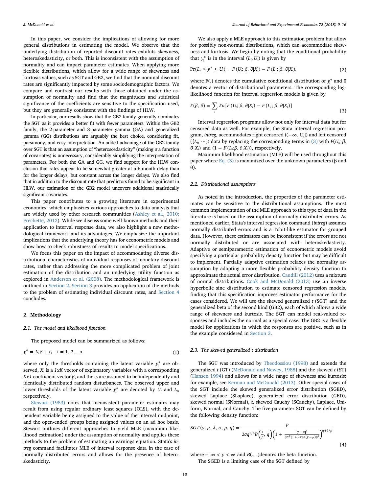In this paper, we consider the implications of allowing for more general distributions in estimating the model. We observe that the underlying distribution of reported discount rates exhibits skewness, heteroskedasticity, or both. This is inconsistent with the assumption of normality and can impact parameter estimates. When applying more flexible distributions, which allow for a wide range of skewness and kurtosis values, such as SGT and GB2, we find that the nominal discount rates are significantly impacted by some sociodemographic factors. We compare and contrast our results with those obtained under the assumption of normality and find that the magnitudes and statistical significance of the coefficients are sensitive to the specification used, but they are generally consistent with the findings of HLW.

In particular, our results show that the GB2 family generally dominates the SGT as it provides a better fit with fewer parameters. Within the GB2 family, the 2-parameter and 3-parameter gamma (GA) and generalized gamma (GG) distributions are arguably the best choice, considering fit, parsimony, and easy interpretation. An added advantage of the GB2 family over SGT is that an assumption of "heteroscedasticity" (making  $\sigma$  a function of covariates) is unnecessary, considerably simplifying the interpretation of parameters. For both the GA and GG, we find support for the HLW conclusion that rates appear to be somewhat greater at a 6-month delay than for the longer delays, but constant across the longer delays. We also find that in addition to the discount rate that predictors found to be significant in HLW, our estimation of the GB2 model uncovers additional statistically significant covariates.

This paper contributes to a growing literature in experimental economics, which emphasizes various approaches to data analysis that are widely used by other research communities [\(Ashley et al., 2010;](#page-8-8) [Frechette, 2012\)](#page-8-8). While we discuss some well-known methods and their application to interval response data, we also highlight a new methodological framework and its advantages. We emphasize the important implications that the underlying theory has for econometric models and show how to check robustness of results to model specifications.

We focus this paper on the impact of accommodating diverse distributional characteristics of individual responses of monetary discount rates, rather than addressing the more complicated problem of joint estimation of the distribution and an underlying utility function as explored in [Anderson et al. \(2008\).](#page-8-9) The methodological framework is outlined in [Section 2](#page-2-0). [Section 3](#page-4-0) provides an application of the methods to the problem of estimating individual discount rates, and [Section 4](#page-7-0) concludes.

#### <span id="page-2-0"></span>2. Methodology

#### 2.1. The model and likelihood function

<span id="page-2-2"></span>The proposed model can be summarized as follows:

$$
y_i^* = X_i \beta + \varepsilon_i \quad i = 1, 2,...,n
$$
 (1)

where only the thresholds containing the latent variable  $y_i^*$  are observed,  $X_i$  is a 1xK vector of explanatory variables with a corresponding Kx1 coefficient vector  $β$ , and the  $ε<sub>i</sub>$  are assumed to be independently and identically distributed random disturbances. The observed upper and lower thresholds of the latent variable  $y_i^*$  are denoted by  $U_i$  and  $L_i$ , respectively.

[Stewart \(1983\)](#page-8-10) notes that inconsistent parameter estimates may result from using regular ordinary least squares (OLS), with the dependent variable being assigned to the value of the interval midpoint, and the open-ended groups being assigned values on an ad hoc basis. Stewart outlines different approaches to yield MLE (maximum likelihood estimation) under the assumption of normality and applies these methods to the problem of estimating an earnings equation. Stata's intreg command facilitates MLE of interval response data in the case of normally distributed errors and allows for the presence of heteroskedasticity.

We also apply a MLE approach to this estimation problem but allow for possibly non-normal distributions, which can accommodate skewness and kurtosis. We begin by noting that the conditional probability that  $y_i^*$  is in the interval  $(L_i, U_i)$  is given by

$$
Pr(L_i \le y_i^* \le U_i) = F(U_i; \beta, \theta | X_i) - F(L_i; \beta, \theta | X_i),
$$
\n(2)

<span id="page-2-1"></span>where F(.) denotes the cumulative conditional distribution of  $y_i^*$  and  $\theta$ denotes a vector of distributional parameters. The corresponding loglikelihood function for interval regression models is given by

$$
\ell(\beta, \theta) = \sum_{i} \ell n [F(U_i; \beta, \theta | X_i) - F(L_i; \beta, \theta | X_i)]
$$
\n(3)

Interval regression programs allow not only for interval data but for censored data as well. For example, the Stata interval regression program, intreg, accommodates right censored ((−∞, U]*<sup>i</sup>* ) and left censored ( $[L_i, \infty)$ ) data by replacing the corresponding terms in [\(3\)](#page-2-1) with  $F(U_i; \beta)$ ,  $\theta$ |X<sub>i</sub>) and (1 – *F*(*L*<sub>i</sub>; $\beta$ ,  $\theta$ |X<sub>i</sub>)), respectively.

Maximum likelihood estimation (MLE) will be used throughout this paper where [Eq. \(3\)](#page-2-1) is maximized over the unknown parameters (β and θ).

#### 2.2. Distributional assumptions

As noted in the introduction, the properties of the parameter estimates can be sensitive to the distributional assumptions. The most common implementation of the MLE approach to this type of data in the literature is based on the assumption of normally distributed errors. As mentioned earlier, Stata's interval regression command (intreg) assumes normally distributed errors and is a Tobit-like estimator for grouped data. However, these estimators can be inconsistent if the errors are not normally distributed or are associated with heteroskedasticity. Adaptive or semiparametric estimation of econometric models avoid specifying a particular probability density function but may be difficult to implement. Partially adaptive estimation relaxes the normality assumption by adopting a more flexible probability density function to approximate the actual error distribution. [Caudill \(2012\)](#page-8-11) uses a mixture of normal distributions. [Cook and McDonald \(2013\)](#page-8-12) use an inverse hyperbolic sine distribution to estimate censored regression models, finding that this specification improves estimator performance for the cases considered. We will use the skewed generalized  $t$  (SGT) and the generalized beta of the second kind (GB2), each of which allows a wide range of skewness and kurtosis. The SGT can model real-valued responses and includes the normal as a special case. The GB2 is a flexible model for applications in which the responses are positive, such as in the example considered in [Section 3.](#page-4-0)

#### 2.3. The skewed generalized t distribution

The SGT was introduced by [Theodossiou \(1998\)](#page-8-13) and extends the generalized  $t$  (GT) ([McDonald and Newey, 1988\)](#page-8-14) and the skewed  $t$  (ST) ([Hansen 1994\)](#page-8-15) and allows for a wide range of skewness and kurtosis; for example, see [Kerman and McDonald \(2013\).](#page-8-16) Other special cases of the SGT include the skewed generalized error distribution (SGED), skewed Laplace (SLaplace), generalized error distribution (GED), skewed normal (SNormal), t, skewed Cauchy (SCauchy), Laplace, Uniform, Normal, and Cauchy. The five-parameter SGT can be defined by the following density function:

$$
SGT(y; \mu, \lambda, \sigma, p, q) = \frac{p}{2\sigma q^{1/p} B\left(\frac{1}{p}, q\right) \left(1 + \frac{|y - \mu|^p}{q\sigma^p (1 + \lambda sign(y - \mu))^p}\right)^{q + 1/p}}
$$
\n
$$
(4)
$$

where  $-\infty < y < \infty$  and *B*(., .) denotes the beta function. The SGED is a limiting case of the SGT defined by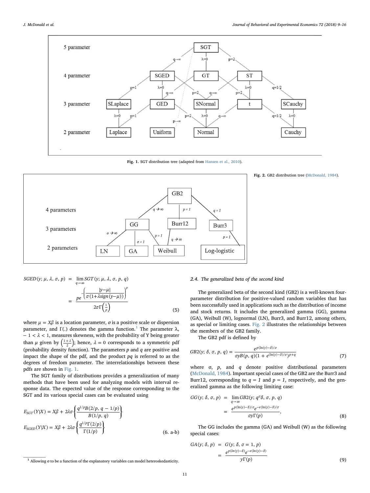<span id="page-3-1"></span>

Fig. 1. SGT distribution tree (adapted from [Hansen et al., 2010](#page-8-18)).

<span id="page-3-2"></span>

Fig. 2. GB2 distribution tree ([McDonald, 1984\)](#page-8-17).

$$
SGED(y; \mu, \lambda, \sigma, p) = \lim_{q \to \infty} SGT(y; \mu, \lambda, \sigma, p, q)
$$

$$
= \frac{p e^{-\left(\frac{|y - \mu|}{\sigma (1 + \lambda sign(y - \mu))}\right)^p}}{2\sigma \Gamma(\frac{1}{p})}
$$
(5)

where  $\mu = X\beta$  is a location parameter,  $\sigma$  is a positive scale or dispersion parameter, and Γ(.) denotes the gamma function.<sup>[1](#page-3-0)</sup> The parameter  $λ$ ,  $− 1 < λ < 1$ , measures skewness, with the probability of Y being greater than  $\mu$  given by  $\left(\frac{1+\lambda}{2}\right)$ ; hence,  $\lambda = 0$  corresponds to a symmetric pdf (probability density function). The parameters  $p$  and  $q$  are positive and impact the shape of the pdf, and the product  $pq$  is referred to as the degrees of freedom parameter. The interrelationships between these pdfs are shown in [Fig. 1](#page-3-1).

The SGT family of distributions provides a generalization of many methods that have been used for analyzing models with interval response data. The expected value of the response corresponding to the SGT and its various special cases can be evaluated using

$$
E_{SGT}(Y|X) = X\beta + 2\lambda\sigma \left\{ \frac{q^{1/p}B(2/p, q - 1/p)}{B(1/p, q)} \right\}
$$
  
\n
$$
E_{SGEN}(Y|X) = X\beta + 2\lambda\sigma \left\{ \frac{q^{1/p}\Gamma(2/p)}{\Gamma(1/p)} \right\}
$$
\n(6. a-b)

#### 2.4. The generalized beta of the second kind

The generalized beta of the second kind (GB2) is a well-known fourparameter distribution for positive-valued random variables that has been successfully used in applications such as the distribution of income and stock returns. It includes the generalized gamma (GG), gamma (GA), Weibull (W), lognormal (LN), Burr3, and Burr12, among others, as special or limiting cases. [Fig. 2](#page-3-2) illustrates the relationships between the members of the GB2 family.

The GB2 pdf is defined by

$$
GB2(y; \delta, \sigma, p, q) = \frac{e^{p(\ln(y) - \delta)/\sigma}}{\sigma yB(p, q)(1 + e^{(\ln(y) - \delta)/\sigma})^{p+q}}
$$
(7)

where  $\sigma$ ,  $p$ , and  $q$  denote positive distributional parameters ([McDonald, 1984\)](#page-8-17). Important special cases of the GB2 are the Burr3 and Burr12, corresponding to  $q = 1$  and  $p = 1$ , respectively, and the generalized gamma as the following limiting case:

$$
GG(y; \delta, \sigma, p) = \lim_{q \to \infty} GB2(y; q^{\sigma} \delta, \sigma, p, q)
$$
  
= 
$$
\frac{e^{p(\ln(y) - \delta)/\sigma} e^{-e(\ln(y) - \delta)/\sigma}}{\sigma y \Gamma(p)},
$$
 (8)

The GG includes the gamma (GA) and Weibull (W) as the following special cases:

$$
GA(y; \delta, p) = G(y; \delta, \sigma = 1, p)
$$
  
= 
$$
\frac{e^{p(ln(y) - \delta)} e^{-e(ln(y) - \delta)}}{y \Gamma(p)}
$$
(9)

<span id="page-3-0"></span> $1$  Allowing σ to be a function of the explanatory variables can model heteroskedasticity.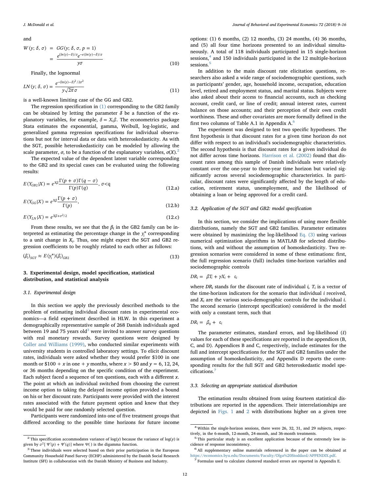and

$$
W(y; \delta, \sigma) = GG(y; \delta, \sigma, p = 1)
$$
  
= 
$$
\frac{e^{(\ln(y) - \delta)/\sigma} e^{-e(\ln(y) - \delta)/\sigma}}{y\sigma}
$$
 (10)

Finally, the lognormal

$$
LN(y; \delta, \sigma) = \frac{e^{-(\ln(y) - \delta)^2 / 2\sigma^2}}{y\sqrt{2\pi}\sigma}
$$
\n(11)

is a well-known limiting case of the GG and GB2.

The regression specification in [\(1\)](#page-2-2) corresponding to the GB2 family can be obtained by letting the parameter  $\delta$  be a function of the explanatory variables, for example,  $\delta = X_i \beta$ . The econometrics package Stata estimates the exponential, gamma, Weibull, log-logistic, and generalized gamma regression specifications for individual observations but not for interval data or data with heteroskedasticity. As with the SGT, possible heteroskedasticity can be modeled by allowing the scale parameter,  $\sigma$ , to be a function of the explanatory variables,  $\sigma(X)$ .<sup>[2](#page-4-1)</sup>

The expected value of the dependent latent variable corresponding to the GB2 and its special cases can be evaluated using the following results:

$$
E(Y_{GB2}|X) = e^{X\beta} \frac{\Gamma(p+\sigma)\Gamma(q-\sigma)}{\Gamma(p)\Gamma(q)}, \sigma < q
$$
\n(12.a)

$$
E(Y_{GG}|X) = e^{X\beta} \frac{\Gamma(p+\sigma)}{\Gamma(p)},
$$
\n(12.b)

$$
E(Y_{LN}|X) = e^{X\beta + \sigma^2/2}
$$
\n(12.c)

From these results, we see that the  $\beta_i$  in the GB2 family can be interpreted as estimating the percentage change in the  $y_i^*$  corresponding to a unit change in  $X_i$ . Thus, one might expect the SGT and GB2 regression coefficients to be roughly related to each other as follows:

<span id="page-4-7"></span>
$$
(\beta_i)_{SGT} \approx E(y_i^*)(\beta_i)_{GB2} \tag{13}
$$

### <span id="page-4-0"></span>3. Experimental design, model specification, statistical distribution, and statistical analysis

#### 3.1. Experimental design

In this section we apply the previously described methods to the problem of estimating individual discount rates in experimental economics—a field experiment described in HLW. In this experiment a demographically representative sample of 268 Danish individuals aged between 19 and 75 years old<sup>3</sup> were invited to answer survey questions with real monetary rewards. Survey questions were designed by [Coller and Williams \(1999\)](#page-8-4), who conducted similar experiments with university students in controlled laboratory settings. To elicit discount rates, individuals were asked whether they would prefer \$100 in one month or  $$100 + x$  in one + y months, where  $x > $0$  and  $y = 6, 12, 24$ , or 36 months depending on the specific condition of the experiment. Each subject faced a sequence of ten questions, each with a different  $x$ . The point at which an individual switched from choosing the current income option to taking the delayed income option provided a bound on his or her discount rate. Participants were provided with the interest rates associated with the future payment option and knew that they would be paid for one randomly selected question.

Participants were randomized into one of five treatment groups that differed according to the possible time horizons for future income options: (1) 6 months, (2) 12 months, (3) 24 months, (4) 36 months, and (5) all four time horizons presented to an individual simultaneously. A total of 118 individuals participated in 15 single-horizon sessions,<sup>[4](#page-4-3)</sup> and 150 individuals participated in the 12 multiple-horizon sessions.<sup>[5](#page-4-4)</sup>

In addition to the main discount rate elicitation questions, researchers also asked a wide range of sociodemographic questions, such as participants' gender, age, household income, occupation, education level, retired and employment status, and marital status. Subjects were also asked about their access to financial accounts, such as checking account, credit card, or line of credit; annual interest rates, current balance on those accounts; and their perception of their own credit worthiness. These and other covariates are more formally defined in the first two columns of Table A.1 in Appendix A.[6](#page-4-5)

The experiment was designed to test two specific hypotheses. The first hypothesis is that discount rates for a given time horizon do not differ with respect to an individual's sociodemographic characteristics. The second hypothesis is that discount rates for a given individual do not differ across time horizons. [Harrison et al. \(2002\)](#page-8-7) found that discount rates among this sample of Danish individuals were relatively constant over the one-year to three-year time horizon but varied significantly across several sociodemographic characteristics. In particular, discount rates were significantly affected by the length of education, retirement status, unemployment, and the likelihood of obtaining a loan or being approved for a credit card.

#### 3.2. Application of the SGT and GB2: model specification

In this section, we consider the implications of using more flexible distributions, namely the SGT and GB2 families. Parameter estimates were obtained by maximizing the log-likelihood [Eq. \(3\)](#page-2-1) using various numerical optimization algorithms in MATLAB for selected distributions, with and without the assumption of homoskedasticity. Two regression scenarios were considered in some of these estimations: first, the full regression scenario (full) includes time-horizon variables and sociodemographic controls

$$
DR_i = \beta T_i + \gamma X_i + \epsilon_i
$$

where  $DR_i$  stands for the discount rate of individual i,  $T_i$  is a vector of the time-horizon indicators for the scenario that individual i received, and  $X_i$  are the various socio-demographic controls for the individual *i*. The second scenario (intercept specification) considered is the model with only a constant term, such that

$$
DR_i = \beta_0 + \epsilon_i
$$

The parameter estimates, standard errors, and log-likelihood (ℓ) values for each of these specifications are reported in the appendices (B, C, and D). Appendices B and C, respectively, include estimates for the full and intercept specifications for the SGT and GB2 families under the assumption of homoskedasticity, and Appendix D reports the corresponding results for the full SGT and GB2 heteroskedastic model specifications.[7](#page-4-6)

#### 3.3. Selecting an appropriate statistical distribution

The estimation results obtained from using fourteen statistical distributions are reported in the appendices. Their interrelationships are depicted in [Figs. 1](#page-3-1) and [2](#page-3-2) with distributions higher on a given tree

<span id="page-4-1"></span> $^2$  This specification accommodates variance of log(y) because the variance of log(y) is given by  $\sigma^2$ [  $\Psi'(p) + \Psi'(q)$ ] where  $\Psi$ () is the digamma function.

<span id="page-4-2"></span><sup>3</sup> These individuals were selected based on their prior participation in the European Community Household Panel Survey (ECHP) administered by the Danish Social Research Institute (SFI) in collaboration with the Danish Ministry of Business and Industry.

<span id="page-4-3"></span><sup>4</sup> Within the single-horizon sessions, there were 26, 32, 31, and 29 subjects, respec-

<span id="page-4-4"></span>tively, in the 6-month, 12-month, 24-month, and 36-month treatments. <sup>5</sup> This particular study is an excellent application because of the extremely low incidence of response inconsistency.

<span id="page-4-5"></span><sup>&</sup>lt;sup>6</sup> All supplementary online materials referenced in the paper can be obtained at <https://economics.byu.edu/Documents/Faculty/Olga%20Stoddard/APPENDIX.pdf>. <sup>7</sup> Formulas used to calculate clustered standard errors are reported in Appendix E.

<span id="page-4-6"></span>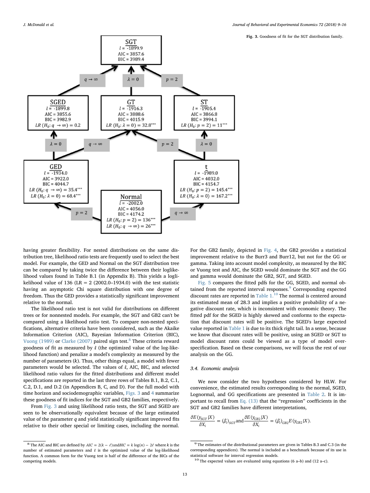Fig. 3. Goodness of fit for the SGT distribution family.

<span id="page-5-1"></span>

having greater flexibility. For nested distributions on the same distribution tree, likelihood ratio tests are frequently used to select the best model. For example, the GED and Normal on the SGT distribution tree can be compared by taking twice the difference between their loglikelihood values found in Table B.1 (in Appendix B). This yields a loglikelihood value of 136 (LR =  $2(2002.0-1934.0)$  with the test statistic having an asymptotic Chi square distribution with one degree of freedom. Thus the GED provides a statistically significant improvement relative to the normal.

The likelihood ratio test is not valid for distributions on different trees or for nonnested models. For example, the SGT and GB2 can't be compared using a likelihood ratio test. To compare non-nested specifications, alternative criteria have been considered, such as the Akaike Information Criterion (AIC), Bayesian Information Criterion (BIC), [Vuong \(1989\)](#page-8-19) or [Clarke \(2007\)](#page-8-20) paired sign test.<sup>[8](#page-5-0)</sup> These criteria reward goodness of fit as measured by ℓ (the optimized value of the log-likelihood function) and penalize a model's complexity as measured by the number of parameters (k). Thus, other things equal, a model with fewer parameters would be selected. The values of ℓ, AIC, BIC, and selected likelihood ratio values for the fitted distributions and different model specifications are reported in the last three rows of Tables B.1, B.2, C.1, C.2, D.1, and D.2 (in Appendices B, C, and D). For the full model with time horizon and sociodemographic variables, [Figs. 3](#page-5-1) and [4](#page-6-0) summarize these goodness of fit indices for the SGT and GB2 families, respectively.

From [Fig. 3](#page-5-1) and using likelihood ratio tests, the SGT and SGED are seen to be observationally equivalent because of the large estimated value of the parameter  $q$  and yield statistically significant improved fits relative to their other special or limiting cases, including the normal.

For the GB2 family, depicted in [Fig. 4,](#page-6-0) the GB2 provides a statistical improvement relative to the Burr3 and Burr12, but not for the GG or gamma. Taking into account model complexity, as measured by the BIC or Vuong test and AIC, the SGED would dominate the SGT and the GG and gamma would dominate the GB2, SGT, and SGED.

[Fig. 5](#page-6-1) compares the fitted pdfs for the GG, SGED, and normal ob-tained from the reported interval responses.<sup>[9](#page-5-2)</sup> Corresponding expected discount rates are reported in [Table 1.](#page-7-1)[10](#page-5-3) The normal is centered around its estimated mean of 28.3 and implies a positive probability of a negative discount rate, which is inconsistent with economic theory. The fitted pdf for the SGED is highly skewed and conforms to the expectation that discount rates will be positive. The SGED's large expected value reported in [Table 1](#page-7-1) is due to its thick right tail. In a sense, because we know that discount rates will be positive, using an SGED or SGT to model discount rates could be viewed as a type of model overspecification. Based on these comparisons, we will focus the rest of our analysis on the GG.

#### 3.4. Economic analysis

We now consider the two hypotheses considered by HLW. For convenience, the estimated results corresponding to the normal, SGED, Lognormal, and GG specifications are presented in [Table 2](#page-7-2). It is important to recall from [Eq. \(13\)](#page-4-7) that the "regression" coefficients in the SGT and GB2 families have different interpretations,

$$
\frac{\partial E(y_{SGT}|X)}{\partial X_i} = (\beta_i)_{SGT} \text{and} \frac{\partial E(y_{GB2}|X)}{\partial X_i} = (\beta_i)_{GB2} E(y_{GB2}|X).
$$

<span id="page-5-0"></span><sup>&</sup>lt;sup>8</sup> The AIC and BIC are defined by  $AIC = 2(k - \ell)$  and  $BIC = k \log(n) - 2\ell$  where k is the number of estimated parameters and ℓ is the optimized value of the log-likelihood function. A common form for the Vuong test is half of the difference of the BICs of the competing models.

<span id="page-5-2"></span><sup>9</sup> The estimates of the distributional parameters are given in Tables B.3 and C.3 (in the corresponding appendices). The normal is included as a benchmark because of its use in

<span id="page-5-3"></span> $10$  The expected values are evaluated using equations (6 a–b) and (12 a–c).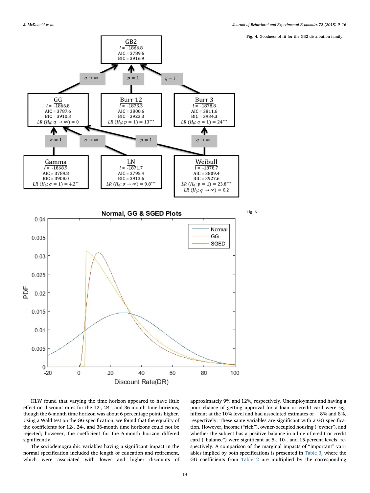Fig. 4. Goodness of fit for the GB2 distribution family.

<span id="page-6-1"></span><span id="page-6-0"></span>

HLW found that varying the time horizon appeared to have little effect on discount rates for the 12-, 24-, and 36-month time horizons, though the 6-month time horizon was about 6 percentage points higher. Using a Wald test on the GG specification, we found that the equality of the coefficients for 12-, 24-, and 36-month time horizons could not be rejected; however, the coefficient for the 6-month horizon differed significantly.

The sociodemographic variables having a significant impact in the normal specification included the length of education and retirement, which were associated with lower and higher discounts of approximately 9% and 12%, respectively. Unemployment and having a poor chance of getting approval for a loan or credit card were significant at the 10% level and had associated estimates of −8% and 8%, respectively. These same variables are significant with a GG specification. However, income ("rich"), owner-occupied housing ("owner'), and whether the subject has a positive balance in a line of credit or credit card ("balance") were significant at 5-, 10-, and 15-percent levels, respectively. A comparison of the marginal impacts of "important" variables implied by both specifications is presented in [Table 3](#page-7-3), where the GG coefficients from [Table 2](#page-7-2) are multiplied by the corresponding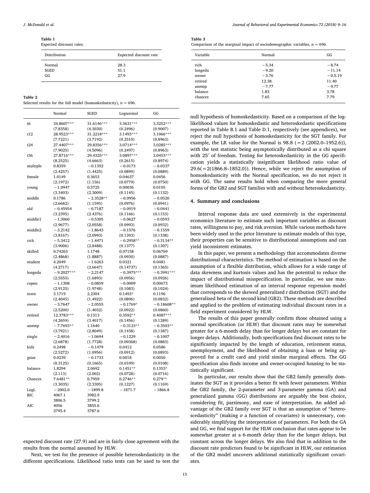<span id="page-7-1"></span>Table 1

| Expected discount rates. |  |  |
|--------------------------|--|--|
|--------------------------|--|--|

| Distribution | Expected discount rate |
|--------------|------------------------|
| Normal       | 28.3                   |
| SGED         | 51.1                   |
| GG           | 27.9                   |

<span id="page-7-2"></span>

| Table |  |  |
|-------|--|--|
|-------|--|--|

Selected results for the full model (homoskedasticity),  $n = 696$ .

|            | Normal                | SGED                  | Lognormal             | GG                  |
|------------|-----------------------|-----------------------|-----------------------|---------------------|
| t6         | 34.8607***            | 31.6146***            | 3.3631***             | 3.3252***           |
|            | (7.8358)              | (4.3030)              | (0.2496)              | (0.9007)            |
| t12        | 28.9523***            | 31.2218***            | 3.1493***             | 3.1066***           |
|            | (7.7221)              | (3.7192)              | (0.2510)              | (0.8963)            |
| t24        | 27.4407***            | 29.8356***            | 3.0714***             | 3.0285***           |
|            | (7.9025)              | (4.5096)              | (0.2497)              | (0.8963)            |
| t36        | 27.8716***            | 29.4325***            | 3.0897***             | 3.0453***           |
|            | (8.2525)              | (4.6663)              | (0.2615)              | (0.8974)            |
| multiple   | 0.8359                | $-0.1392$             | $-0.0173$             | $-0.0337$           |
|            | (2.4257)              | (1.4425)              | (0.0899)              | (0.0889)            |
| female     | 1.0149                | 0.3653                | 0.04637               | 0.0456              |
|            | (2.1972)              | (1.156)               | (0.0779)              | (0.0750)            |
| young      | $-1.0947$             | 0.5725                | 0.00036               | 0.0105              |
|            | (3.3403)              | (2.3009)              | (0.1145)              | (0.1132)            |
| middle     | 0.1786                | $-2.3528**$           | $-0.0956$             | $-0.0520$           |
|            | (2.6682)              | (1.1595)              | (0.0976)              | (0.0941)            |
| old        | $-0.45954$            | $-0.7187$             | $-0.0919$             | $-0.0441$           |
|            | (3.2395)              | (2.4376)              | (0.1166)              | (0.1153)            |
| middle1    | $-1.3060$             | $-0.5305$             | $-0.0627$             | $-0.0593$           |
|            | (2.9677)              | (2.0558)              | (0.0993)              | (0.0932)            |
| middle2    | $-3.2142$             | $-1.8643$             | $-0.1576$             | $-0.1559$           |
|            | (3.8167)              | (2.0993)              | (0.1393)              | (0.1338)            |
| rich       | $-5.3412$             | $-1.4471$             | $-0.2958**$           | $-0.3134**$         |
|            | (3.9006)              | (2.8488)              | (0.1377)              | (0.1307)            |
| skilled    | 0.74265               | 1.1748                | 0.07158               | 0.06769             |
|            | (2.4868)              | (1.8887)              | (0.0930)              | (0.0887)            |
| student    | 4.2049                | $-1.6263$             | 0.0321                | 0.0481              |
|            | (4.2717)              | (2.6647)              | (0.14737)             | (0.1365)            |
| longedu    | $-9.2027***$          | $-2.2147$             | $-0.3975***$          | $-0.3991***$        |
|            | (2.5555)              | (1.6893)              | (0.0956)              | (0.0926)            |
| copen      | $-1.1308$<br>(2.9125) | $-0.0859$<br>(1.9748) | $-0.0009$<br>(0.1083) | 0.00673<br>(0.1024) |
| town       | 3.1719                | 2.2304                | $0.1493*$             | 0.1196              |
|            | (2.4045)              | (1.4922)              | (0.0896)              | (0.0832)            |
| owner      | $-3.7647$             | $-2.0555$             | $-0.1769*$            | $-0.18608**$        |
|            | (2.5200)              | (1.4032)              | (0.0922)              | (0.0860)            |
| retired    | 12.3783***            | 0.1513                | 0.3592**              | 0.4087***           |
|            | (4.2659)              | (3.4017)              | (0.1456)              | (0.1289)            |
| unemp      | $-7.7693**$           | 1.1640                | $-0.3123**$           | $-0.3503**$         |
|            | (3.7921)              | (2.8049)              | (0.1438)              | (0.1387)            |
| single     | $-2.4016$             | $-1.0694$             | $-0.1229$             | $-0.1007$           |
|            | (2.6878)              | (1.7728)              | (0.09368)             | (0.0883)            |
| kids       | 0.2498                | $-0.1479$             | 0.0412                | 0.0586              |
|            | (2.5272)              | (1.0956)              | (0.0912)              | (0.0893)            |
| gsize      | 0.0239                | $-0.1733$             | 0.0018                | 0.0050              |
|            | (0.3125)              | (0.1665)              | (0.0109)              | (0.0108)            |
| balance    | 1.8294                | 2.0692                | $0.1451**$            | $0.1353*$           |
|            | (2.113)               | (2.002)               | (0.0728)              | (0.0716)            |
| Chances    | 7.6481**              | 0.7959                | $0.2746**$            | $0.279**$           |
|            | (3.3035)              | (2.3305)              | (0.1227)              | (0.1169)            |
| LogL       | $-2002.0$             | $-1899.8$             | $-1871.7$             | $-1866.8$           |
| <b>BIC</b> | 4067.1                | 3982.9                |                       |                     |
|            | 3806.5                | 3799.2                |                       |                     |
| <b>AIC</b> | 4056                  | 3855.6                |                       |                     |
|            | 3795.4                | 3787.6                |                       |                     |

expected discount rate (27.9) and are in fairly close agreement with the results from the normal assumed by HLW.

Next, we test for the presence of possible heteroskedasticity in the different specifications. Likelihood ratio tests can be used to test the <span id="page-7-3"></span>Table 3

| Comparison of the marginal impact of sociodemographic variables, $n = 696$ . |  |
|------------------------------------------------------------------------------|--|
|------------------------------------------------------------------------------|--|

| Variable | Normal  | GG        |
|----------|---------|-----------|
| rich     | $-5.34$ | $-8.74$   |
| longedu  | $-9.20$ | $-11.14$  |
| owner    | $-3.76$ | $-0.5.19$ |
| retired  | 12.38   | 11.40     |
| unemp    | $-7.77$ | $-9.77$   |
| balance  | 1.83    | 3.78      |
| chances  | 7.65    | 7.79      |

null hypothesis of homoskedasticity. Based on a comparison of the loglikelihood values for homoskedastic and heteroskedastic specifications reported in Table B.1 and Table D.1, respectively (see appendices), we reject the null hypothesis of homoskedasticity for the SGT family. For example, the LR value for the Normal is  $98.8$  (= 2 (2002.0–1952.6)), with the test statistic being asymptotically distributed as a chi square with 25° of freedom. Testing for heteroskedasticity in the GG specification yields a statistically insignificant likelihood ratio value of  $29.6(=2(1866.8-1852.0))$ . Hence, while we reject the assumption of homoskedasticity with the Normal specification, we do not reject it with GG. The same results hold when comparing the more general forms of the GB2 and SGT families with and without heteroskedasticity.

#### <span id="page-7-0"></span>4. Summary and conclusions

Interval response data are used extensively in the experimental economics literature to estimate such important variables as discount rates, willingness to pay, and risk aversion. While various methods have been widely used in the prior literature to estimate models of this type, their properties can be sensitive to distributional assumptions and can yield inconsistent estimates.

In this paper, we present a methodology that accommodates diverse distributional characteristics. The method of estimation is based on the assumption of a flexible distribution, which allows for a wide range of data skewness and kurtosis values and has the potential to reduce the impact of distributional misspecification. In particular, we use maximum likelihood estimation of an interval response regression model that corresponds to the skewed generalized  $t$  distribution (SGT) and the generalized beta of the second kind (GB2). These methods are described and applied to the problem of estimating individual discount rates in a field experiment considered by HLW.

The results of this paper generally confirm those obtained using a normal specification (or HLW) that discount rates may be somewhat greater for a 6-month delay than for longer delays but are constant for longer delays. Additionally, both specifications find discount rates to be significantly impacted by the length of education, retirement status, unemployment, and the likelihood of obtaining a loan or being approved for a credit card and yield similar marginal effects. The GG specification also finds income and owner-occupied housing to be statistically significant.

In particular, our results show that the GB2 family generally dominates the SGT as it provides a better fit with fewer parameters. Within the GB2 family, the 2-parameter and 3-parameter gamma (GA) and generalized gamma (GG) distributions are arguably the best choice, considering fit, parsimony, and ease of interpretation. An added advantage of the GB2 family over SGT is that an assumption of "heteroscedasticity" (making  $\sigma$  a function of covariates) is unnecessary, considerably simplifying the interpretation of parameters. For both the GA and GG, we find support for the HLW conclusion that rates appear to be somewhat greater at a 6-month delay than for the longer delays, but constant across the longer delays. We also find that in addition to the discount rate predictors found to be significant in HLW, our estimation of the GB2 model uncovers additional statistically significant covariates.